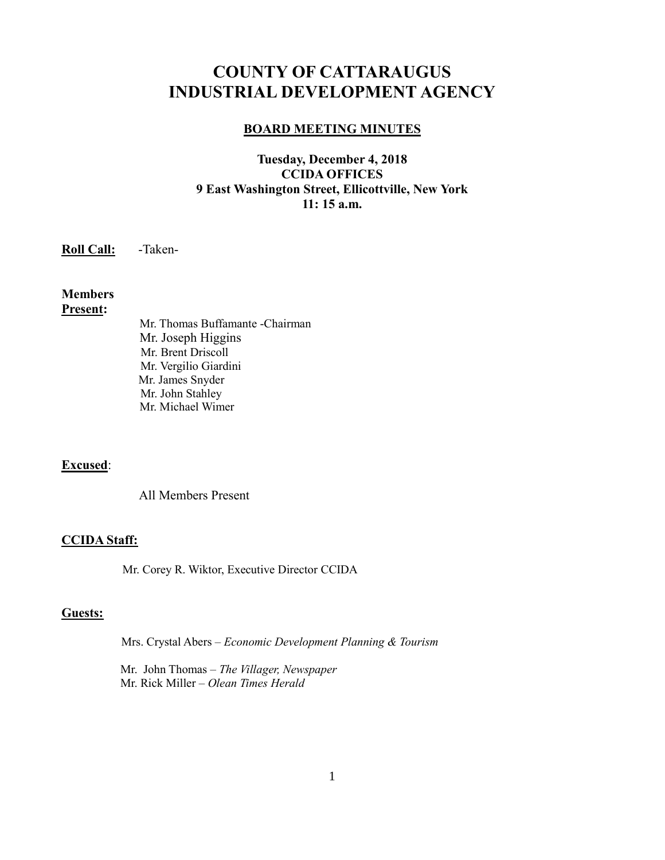# **COUNTY OF CATTARAUGUS INDUSTRIAL DEVELOPMENT AGENCY**

#### **BOARD MEETING MINUTES**

## **Tuesday, December 4, 2018 CCIDA OFFICES 9 East Washington Street, Ellicottville, New York 11: 15 a.m.**

**Roll Call:** -Taken-

#### **Members Present:**

Mr. Thomas Buffamante -Chairman Mr. Joseph Higgins Mr. Brent Driscoll Mr. Vergilio Giardini Mr. James Snyder Mr. John Stahley Mr. Michael Wimer

## **Excused**:

All Members Present

#### **CCIDA Staff:**

Mr. Corey R. Wiktor, Executive Director CCIDA

#### **Guests:**

Mrs. Crystal Abers – *Economic Development Planning & Tourism*

 Mr. John Thomas – *The Villager, Newspaper* Mr. Rick Miller – *Olean Times Herald*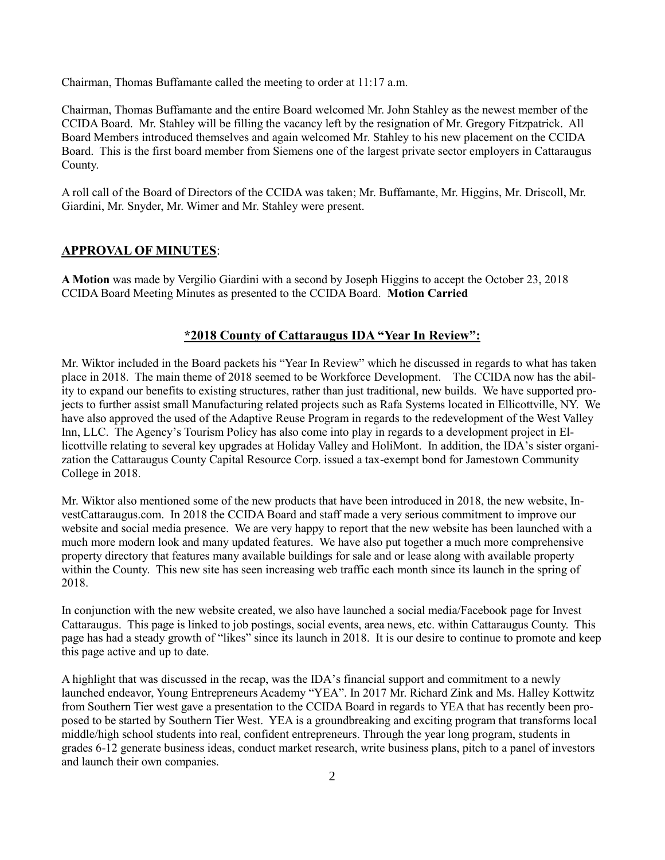Chairman, Thomas Buffamante called the meeting to order at 11:17 a.m.

Chairman, Thomas Buffamante and the entire Board welcomed Mr. John Stahley as the newest member of the CCIDA Board. Mr. Stahley will be filling the vacancy left by the resignation of Mr. Gregory Fitzpatrick. All Board Members introduced themselves and again welcomed Mr. Stahley to his new placement on the CCIDA Board. This is the first board member from Siemens one of the largest private sector employers in Cattaraugus County.

A roll call of the Board of Directors of the CCIDA was taken; Mr. Buffamante, Mr. Higgins, Mr. Driscoll, Mr. Giardini, Mr. Snyder, Mr. Wimer and Mr. Stahley were present.

#### **APPROVAL OF MINUTES**:

**A Motion** was made by Vergilio Giardini with a second by Joseph Higgins to accept the October 23, 2018 CCIDA Board Meeting Minutes as presented to the CCIDA Board. **Motion Carried**

#### **\*2018 County of Cattaraugus IDA "Year In Review":**

Mr. Wiktor included in the Board packets his "Year In Review" which he discussed in regards to what has taken place in 2018. The main theme of 2018 seemed to be Workforce Development. The CCIDA now has the ability to expand our benefits to existing structures, rather than just traditional, new builds. We have supported projects to further assist small Manufacturing related projects such as Rafa Systems located in Ellicottville, NY. We have also approved the used of the Adaptive Reuse Program in regards to the redevelopment of the West Valley Inn, LLC. The Agency's Tourism Policy has also come into play in regards to a development project in Ellicottville relating to several key upgrades at Holiday Valley and HoliMont. In addition, the IDA's sister organization the Cattaraugus County Capital Resource Corp. issued a tax-exempt bond for Jamestown Community College in 2018.

Mr. Wiktor also mentioned some of the new products that have been introduced in 2018, the new website, InvestCattaraugus.com. In 2018 the CCIDA Board and staff made a very serious commitment to improve our website and social media presence. We are very happy to report that the new website has been launched with a much more modern look and many updated features. We have also put together a much more comprehensive property directory that features many available buildings for sale and or lease along with available property within the County. This new site has seen increasing web traffic each month since its launch in the spring of 2018.

In conjunction with the new website created, we also have launched a social media/Facebook page for Invest Cattaraugus. This page is linked to job postings, social events, area news, etc. within Cattaraugus County. This page has had a steady growth of "likes" since its launch in 2018. It is our desire to continue to promote and keep this page active and up to date.

A highlight that was discussed in the recap, was the IDA's financial support and commitment to a newly launched endeavor, Young Entrepreneurs Academy "YEA". In 2017 Mr. Richard Zink and Ms. Halley Kottwitz from Southern Tier west gave a presentation to the CCIDA Board in regards to YEA that has recently been proposed to be started by Southern Tier West. YEA is a groundbreaking and exciting program that transforms local middle/high school students into real, confident entrepreneurs. Through the year long program, students in grades 6-12 generate business ideas, conduct market research, write business plans, pitch to a panel of investors and launch their own companies.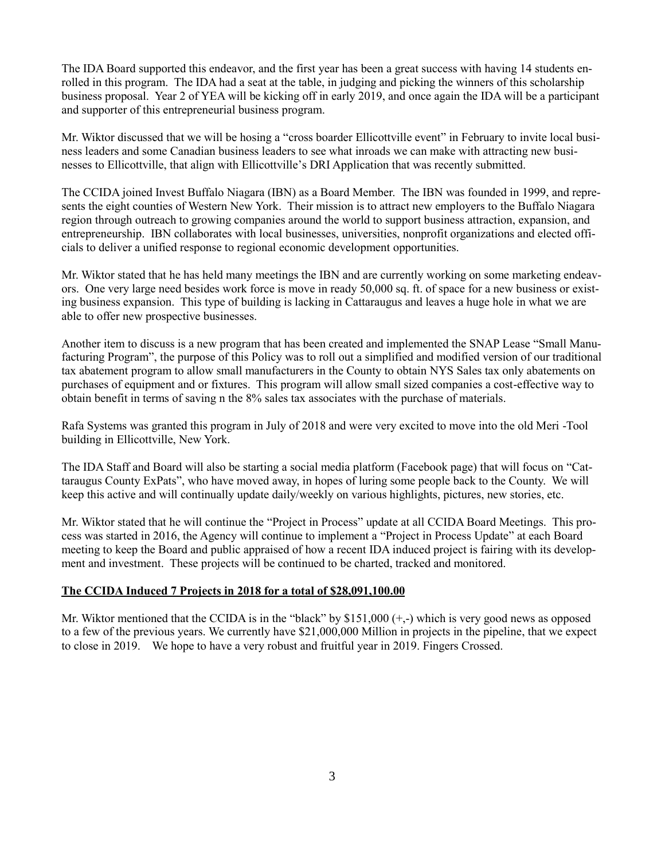The IDA Board supported this endeavor, and the first year has been a great success with having 14 students enrolled in this program. The IDA had a seat at the table, in judging and picking the winners of this scholarship business proposal. Year 2 of YEA will be kicking off in early 2019, and once again the IDA will be a participant and supporter of this entrepreneurial business program.

Mr. Wiktor discussed that we will be hosing a "cross boarder Ellicottville event" in February to invite local business leaders and some Canadian business leaders to see what inroads we can make with attracting new businesses to Ellicottville, that align with Ellicottville's DRI Application that was recently submitted.

The CCIDA joined Invest Buffalo Niagara (IBN) as a Board Member. The IBN was founded in 1999, and represents the eight counties of Western New York. Their mission is to attract new employers to the Buffalo Niagara region through outreach to growing companies around the world to support business attraction, expansion, and entrepreneurship. IBN collaborates with local businesses, universities, nonprofit organizations and elected officials to deliver a unified response to regional economic development opportunities.

Mr. Wiktor stated that he has held many meetings the IBN and are currently working on some marketing endeavors. One very large need besides work force is move in ready 50,000 sq. ft. of space for a new business or existing business expansion. This type of building is lacking in Cattaraugus and leaves a huge hole in what we are able to offer new prospective businesses.

Another item to discuss is a new program that has been created and implemented the SNAP Lease "Small Manufacturing Program", the purpose of this Policy was to roll out a simplified and modified version of our traditional tax abatement program to allow small manufacturers in the County to obtain NYS Sales tax only abatements on purchases of equipment and or fixtures. This program will allow small sized companies a cost-effective way to obtain benefit in terms of saving n the 8% sales tax associates with the purchase of materials.

Rafa Systems was granted this program in July of 2018 and were very excited to move into the old Meri -Tool building in Ellicottville, New York.

The IDA Staff and Board will also be starting a social media platform (Facebook page) that will focus on "Cattaraugus County ExPats", who have moved away, in hopes of luring some people back to the County. We will keep this active and will continually update daily/weekly on various highlights, pictures, new stories, etc.

Mr. Wiktor stated that he will continue the "Project in Process" update at all CCIDA Board Meetings. This process was started in 2016, the Agency will continue to implement a "Project in Process Update" at each Board meeting to keep the Board and public appraised of how a recent IDA induced project is fairing with its development and investment. These projects will be continued to be charted, tracked and monitored.

#### **The CCIDA Induced 7 Projects in 2018 for a total of \$28,091,100.00**

Mr. Wiktor mentioned that the CCIDA is in the "black" by \$151,000  $(+,-)$  which is very good news as opposed to a few of the previous years. We currently have \$21,000,000 Million in projects in the pipeline, that we expect to close in 2019. We hope to have a very robust and fruitful year in 2019. Fingers Crossed.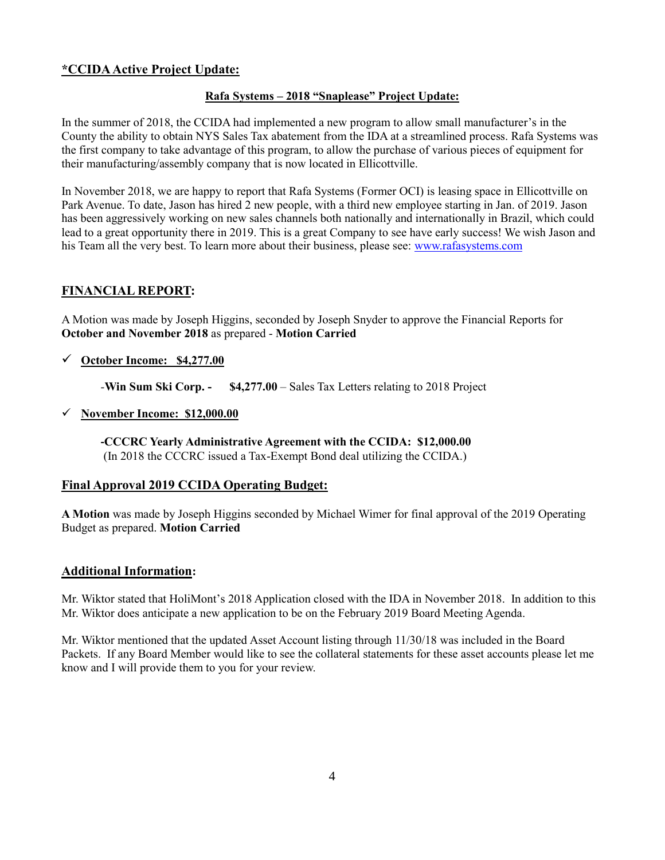## **\*CCIDA Active Project Update:**

#### **Rafa Systems – 2018 "Snaplease" Project Update:**

In the summer of 2018, the CCIDA had implemented a new program to allow small manufacturer's in the County the ability to obtain NYS Sales Tax abatement from the IDA at a streamlined process. Rafa Systems was the first company to take advantage of this program, to allow the purchase of various pieces of equipment for their manufacturing/assembly company that is now located in Ellicottville.

In November 2018, we are happy to report that Rafa Systems (Former OCI) is leasing space in Ellicottville on Park Avenue. To date, Jason has hired 2 new people, with a third new employee starting in Jan. of 2019. Jason has been aggressively working on new sales channels both nationally and internationally in Brazil, which could lead to a great opportunity there in 2019. This is a great Company to see have early success! We wish Jason and his Team all the very best. To learn more about their business, please see: [www.rafasystems.com](http://www.rafasystems.com/)

## **FINANCIAL REPORT:**

A Motion was made by Joseph Higgins, seconded by Joseph Snyder to approve the Financial Reports for **October and November 2018** as prepared - **Motion Carried**

✓ **October Income: \$4,277.00**

*-***Win Sum Ski Corp. - \$4,277.00** – Sales Tax Letters relating to 2018 Project

✓ **November Income: \$12,000.00**

**-CCCRC Yearly Administrative Agreement with the CCIDA: \$12,000.00** (In 2018 the CCCRC issued a Tax-Exempt Bond deal utilizing the CCIDA.)

## **Final Approval 2019 CCIDA Operating Budget:**

**A Motion** was made by Joseph Higgins seconded by Michael Wimer for final approval of the 2019 Operating Budget as prepared. **Motion Carried**

#### **Additional Information:**

Mr. Wiktor stated that HoliMont's 2018 Application closed with the IDA in November 2018. In addition to this Mr. Wiktor does anticipate a new application to be on the February 2019 Board Meeting Agenda.

Mr. Wiktor mentioned that the updated Asset Account listing through 11/30/18 was included in the Board Packets. If any Board Member would like to see the collateral statements for these asset accounts please let me know and I will provide them to you for your review.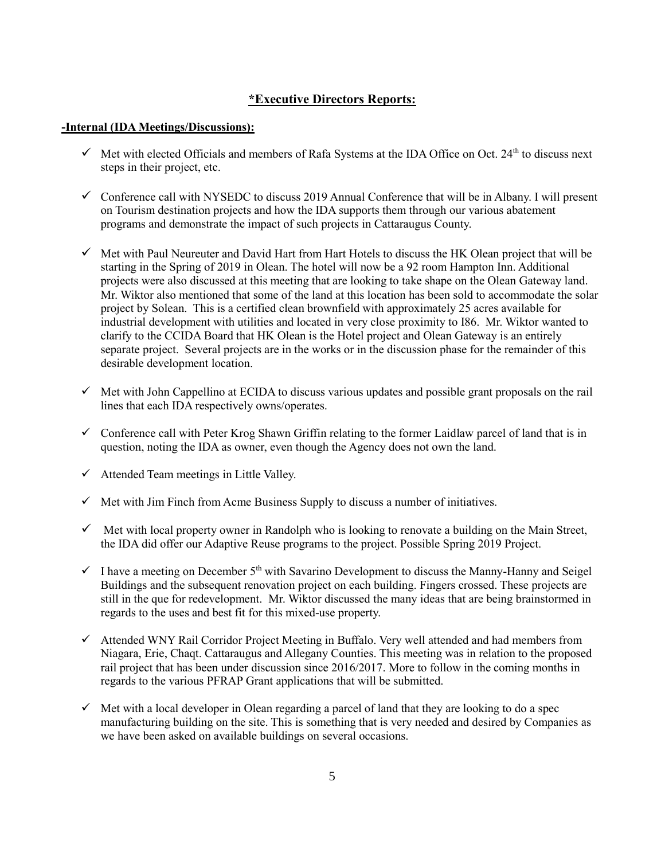## **\*Executive Directors Reports:**

#### **-Internal (IDA Meetings/Discussions):**

- $\checkmark$  Met with elected Officials and members of Rafa Systems at the IDA Office on Oct. 24<sup>th</sup> to discuss next steps in their project, etc.
- ✓ Conference call with NYSEDC to discuss 2019 Annual Conference that will be in Albany. I will present on Tourism destination projects and how the IDA supports them through our various abatement programs and demonstrate the impact of such projects in Cattaraugus County.
- $\checkmark$  Met with Paul Neureuter and David Hart from Hart Hotels to discuss the HK Olean project that will be starting in the Spring of 2019 in Olean. The hotel will now be a 92 room Hampton Inn. Additional projects were also discussed at this meeting that are looking to take shape on the Olean Gateway land. Mr. Wiktor also mentioned that some of the land at this location has been sold to accommodate the solar project by Solean. This is a certified clean brownfield with approximately 25 acres available for industrial development with utilities and located in very close proximity to I86. Mr. Wiktor wanted to clarify to the CCIDA Board that HK Olean is the Hotel project and Olean Gateway is an entirely separate project. Several projects are in the works or in the discussion phase for the remainder of this desirable development location.
- $\checkmark$  Met with John Cappellino at ECIDA to discuss various updates and possible grant proposals on the rail lines that each IDA respectively owns/operates.
- $\checkmark$  Conference call with Peter Krog Shawn Griffin relating to the former Laidlaw parcel of land that is in question, noting the IDA as owner, even though the Agency does not own the land.
- $\checkmark$  Attended Team meetings in Little Valley.
- $\checkmark$  Met with Jim Finch from Acme Business Supply to discuss a number of initiatives.
- $\checkmark$  Met with local property owner in Randolph who is looking to renovate a building on the Main Street, the IDA did offer our Adaptive Reuse programs to the project. Possible Spring 2019 Project.
- $\checkmark$  I have a meeting on December 5<sup>th</sup> with Savarino Development to discuss the Manny-Hanny and Seigel Buildings and the subsequent renovation project on each building. Fingers crossed. These projects are still in the que for redevelopment. Mr. Wiktor discussed the many ideas that are being brainstormed in regards to the uses and best fit for this mixed-use property.
- ✓ Attended WNY Rail Corridor Project Meeting in Buffalo. Very well attended and had members from Niagara, Erie, Chaqt. Cattaraugus and Allegany Counties. This meeting was in relation to the proposed rail project that has been under discussion since 2016/2017. More to follow in the coming months in regards to the various PFRAP Grant applications that will be submitted.
- $\checkmark$  Met with a local developer in Olean regarding a parcel of land that they are looking to do a spec manufacturing building on the site. This is something that is very needed and desired by Companies as we have been asked on available buildings on several occasions.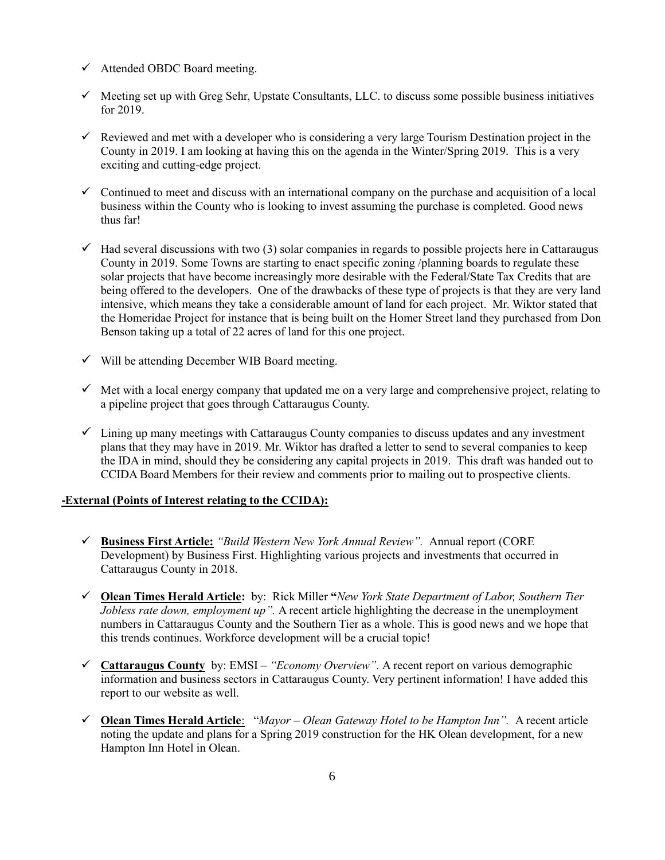- $\checkmark$  Attended OBDC Board meeting.
- $\checkmark$  Meeting set up with Greg Sehr, Upstate Consultants, LLC. to discuss some possible business initiatives for 2019.
- $\checkmark$  Reviewed and met with a developer who is considering a very large Tourism Destination project in the County in 2019. I am looking at having this on the agenda in the Winter/Spring 2019. This is a very exciting and cutting-edge project.
- $\checkmark$  Continued to meet and discuss with an international company on the purchase and acquisition of a local business within the County who is looking to invest assuming the purchase is completed. Good news thus far!
- $\checkmark$  Had several discussions with two (3) solar companies in regards to possible projects here in Cattaraugus County in 2019. Some Towns are starting to enact specific zoning /planning boards to regulate these solar projects that have become increasingly more desirable with the Federal/State Tax Credits that are being offered to the developers. One of the drawbacks of these type of projects is that they are very land intensive, which means they take a considerable amount of land for each project. Mr. Wiktor stated that the Homeridae Project for instance that is being built on the Homer Street land they purchased from Don Benson taking up a total of 22 acres of land for this one project.
- $\checkmark$  Will be attending December WIB Board meeting.
- $\checkmark$  Met with a local energy company that updated me on a very large and comprehensive project, relating to a pipeline project that goes through Cattaraugus County.
- $\checkmark$  Lining up many meetings with Cattaraugus County companies to discuss updates and any investment plans that they may have in 2019. Mr. Wiktor has drafted a letter to send to several companies to keep the IDA in mind, should they be considering any capital projects in 2019. This draft was handed out to CCIDA Board Members for their review and comments prior to mailing out to prospective clients.

#### **-External (Points of Interest relating to the CCIDA):**

- ✓ **Business First Article:** *"Build Western New York Annual Review".* Annual report (CORE Development) by Business First. Highlighting various projects and investments that occurred in Cattaraugus County in 2018.
- ✓ **Olean Times Herald Article:** by: Rick Miller **"***New York State Department of Labor, Southern Tier Jobless rate down, employment up".* A recent article highlighting the decrease in the unemployment numbers in Cattaraugus County and the Southern Tier as a whole. This is good news and we hope that this trends continues. Workforce development will be a crucial topic!
- ✓ **Cattaraugus County** by: EMSI *– "Economy Overview".* A recent report on various demographic information and business sectors in Cattaraugus County. Very pertinent information! I have added this report to our website as well.
- ✓ **Olean Times Herald Article**: "*Mayor – Olean Gateway Hotel to be Hampton Inn".* A recent article noting the update and plans for a Spring 2019 construction for the HK Olean development, for a new Hampton Inn Hotel in Olean.